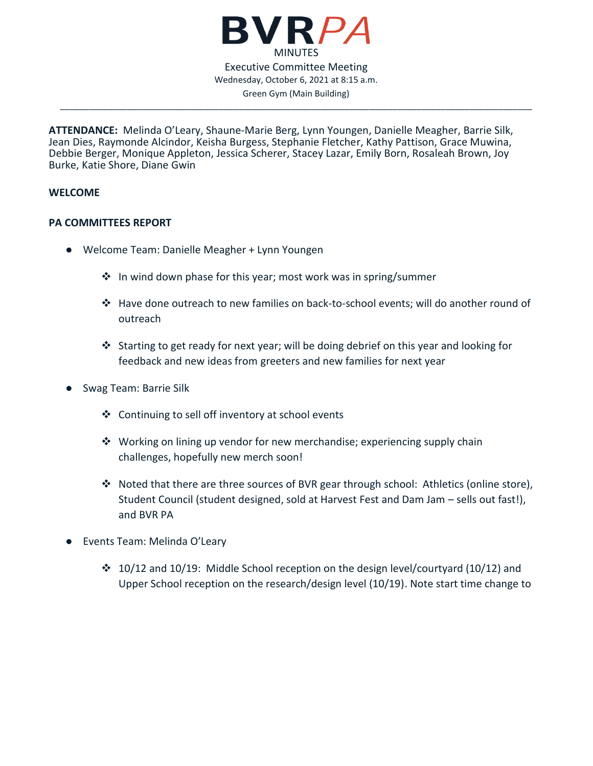

\_\_\_\_\_\_\_\_\_\_\_\_\_\_\_\_\_\_\_\_\_\_\_\_\_\_\_\_\_\_\_\_\_\_\_\_\_\_\_\_\_\_\_\_\_\_\_\_\_\_\_\_\_\_\_\_\_\_\_\_\_\_\_\_\_\_\_\_\_\_\_\_\_\_\_\_\_\_\_\_\_\_\_\_\_\_\_\_\_\_\_\_\_\_\_\_\_\_

**ATTENDANCE:** Melinda O'Leary, Shaune-Marie Berg, Lynn Youngen, Danielle Meagher, Barrie Silk, Jean Dies, Raymonde Alcindor, Keisha Burgess, Stephanie Fletcher, Kathy Pattison, Grace Muwina, Debbie Berger, Monique Appleton, Jessica Scherer, Stacey Lazar, Emily Born, Rosaleah Brown, Joy Burke, Katie Shore, Diane Gwin

### **WELCOME**

### **PA COMMITTEES REPORT**

- Welcome Team: Danielle Meagher + Lynn Youngen
	- ❖ In wind down phase for this year; most work was in spring/summer
	- ❖ Have done outreach to new families on back-to-school events; will do another round of outreach
	- ❖ Starting to get ready for next year; will be doing debrief on this year and looking for feedback and new ideas from greeters and new families for next year
- Swag Team: Barrie Silk
	- ❖ Continuing to sell off inventory at school events
	- ◆ Working on lining up vendor for new merchandise; experiencing supply chain challenges, hopefully new merch soon!
	- ❖ Noted that there are three sources of BVR gear through school: Athletics (online store), Student Council (student designed, sold at Harvest Fest and Dam Jam – sells out fast!), and BVR PA
- Events Team: Melinda O'Leary
	- ❖ 10/12 and 10/19: Middle School reception on the design level/courtyard (10/12) and Upper School reception on the research/design level (10/19). Note start time change to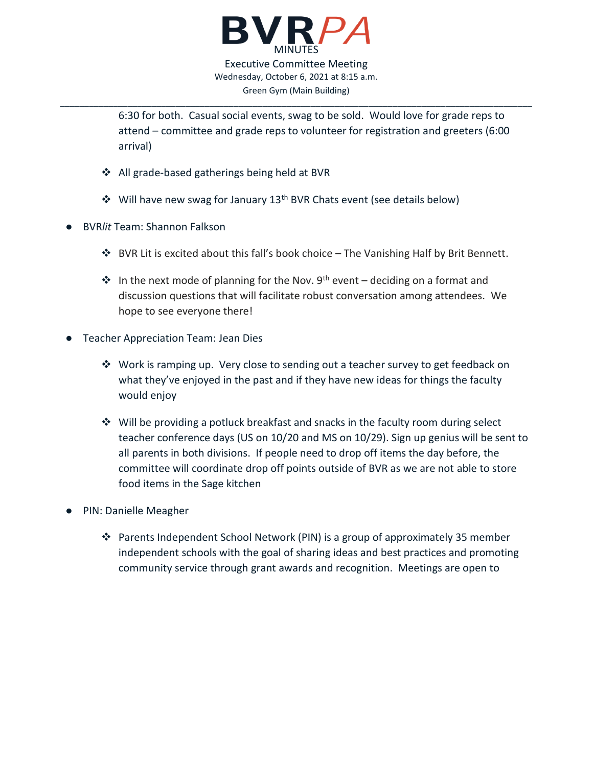

6:30 for both. Casual social events, swag to be sold. Would love for grade reps to attend – committee and grade reps to volunteer for registration and greeters (6:00 arrival)

- ❖ All grade-based gatherings being held at BVR
- ❖ Will have new swag for January 13th BVR Chats event (see details below)
- BVR*lit* Team: Shannon Falkson
	- ❖ BVR Lit is excited about this fall's book choice The Vanishing Half by Brit Bennett.
	- ↓ In the next mode of planning for the Nov. 9<sup>th</sup> event deciding on a format and discussion questions that will facilitate robust conversation among attendees. We hope to see everyone there!
- Teacher Appreciation Team: Jean Dies
	- ❖ Work is ramping up. Very close to sending out a teacher survey to get feedback on what they've enjoyed in the past and if they have new ideas for things the faculty would enjoy
	- ❖ Will be providing a potluck breakfast and snacks in the faculty room during select teacher conference days (US on 10/20 and MS on 10/29). Sign up genius will be sent to all parents in both divisions. If people need to drop off items the day before, the committee will coordinate drop off points outside of BVR as we are not able to store food items in the Sage kitchen
- PIN: Danielle Meagher
	- ❖ Parents Independent School Network (PIN) is a group of approximately 35 member independent schools with the goal of sharing ideas and best practices and promoting community service through grant awards and recognition. Meetings are open to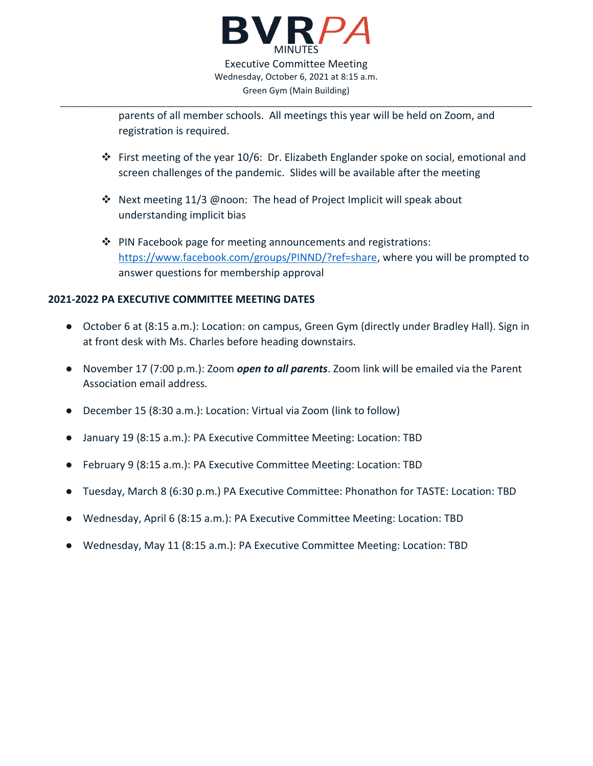

parents of all member schools. All meetings this year will be held on Zoom, and registration is required.

- ❖ First meeting of the year 10/6: Dr. Elizabeth Englander spoke on social, emotional and screen challenges of the pandemic. Slides will be available after the meeting
- ❖ Next meeting 11/3 @noon: The head of Project Implicit will speak about understanding implicit bias
- ❖ PIN Facebook page for meeting announcements and registrations: [https://www.facebook.com/groups/PINND/?ref=share,](https://www.facebook.com/groups/PINND/?ref=share) where you will be prompted to answer questions for membership approval

### **2021-2022 PA EXECUTIVE COMMITTEE MEETING DATES**

- October 6 at (8:15 a.m.): Location: on campus, Green Gym (directly under Bradley Hall). Sign in at front desk with Ms. Charles before heading downstairs.
- November 17 (7:00 p.m.): Zoom *open to all parents*. Zoom link will be emailed via the Parent Association email address.
- December 15 (8:30 a.m.): Location: Virtual via Zoom (link to follow)
- January 19 (8:15 a.m.): PA Executive Committee Meeting: Location: TBD
- February 9 (8:15 a.m.): PA Executive Committee Meeting: Location: TBD
- Tuesday, March 8 (6:30 p.m.) PA Executive Committee: Phonathon for TASTE: Location: TBD
- Wednesday, April 6 (8:15 a.m.): PA Executive Committee Meeting: Location: TBD
- Wednesday, May 11 (8:15 a.m.): PA Executive Committee Meeting: Location: TBD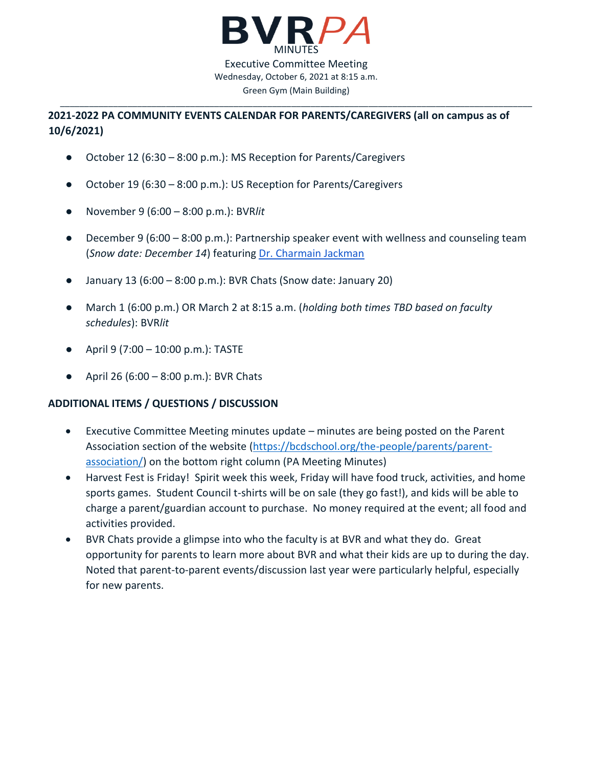

# **2021-2022 PA COMMUNITY EVENTS CALENDAR FOR PARENTS/CAREGIVERS (all on campus as of 10/6/2021)**

- October 12 (6:30 8:00 p.m.): MS Reception for Parents/Caregivers
- October 19 (6:30 8:00 p.m.): US Reception for Parents/Caregivers
- November 9 (6:00 8:00 p.m.): BVR*lit*
- December 9 (6:00 8:00 p.m.): Partnership speaker event with wellness and counseling team (*Snow date: December 14*) featuring [Dr. Charmain Jackman](https://www.drcharmainjackman.com/)
- $\bullet$  January 13 (6:00 8:00 p.m.): BVR Chats (Snow date: January 20)
- March 1 (6:00 p.m.) OR March 2 at 8:15 a.m. (*holding both times TBD based on faculty schedules*): BVR*lit*
- April 9 (7:00 10:00 p.m.): TASTE
- April 26  $(6:00 8:00)$  p.m.): BVR Chats

## **ADDITIONAL ITEMS / QUESTIONS / DISCUSSION**

- Executive Committee Meeting minutes update minutes are being posted on the Parent Association section of the website [\(https://bcdschool.org/the-people/parents/parent](https://bcdschool.org/the-people/parents/parent-association/)[association/\)](https://bcdschool.org/the-people/parents/parent-association/) on the bottom right column (PA Meeting Minutes)
- Harvest Fest is Friday! Spirit week this week, Friday will have food truck, activities, and home sports games. Student Council t-shirts will be on sale (they go fast!), and kids will be able to charge a parent/guardian account to purchase. No money required at the event; all food and activities provided.
- BVR Chats provide a glimpse into who the faculty is at BVR and what they do. Great opportunity for parents to learn more about BVR and what their kids are up to during the day. Noted that parent-to-parent events/discussion last year were particularly helpful, especially for new parents.